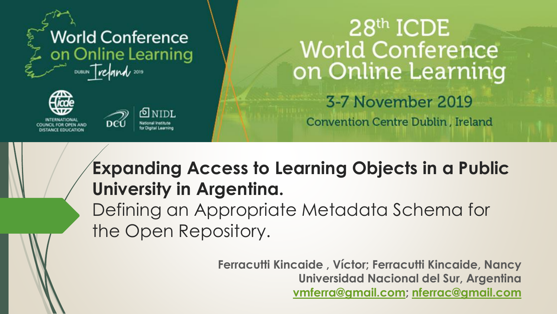





# $28<sup>th</sup>$  ICDE **World Conference** on Online Learning

3-7 November 2019

**Convention Centre Dublin, Ireland** 

### **Expanding Access to Learning Objects in a Public University in Argentina.**

Defining an Appropriate Metadata Schema for the Open Repository.

> **Ferracutti Kincaide , Víctor; Ferracutti Kincaide, Nancy Universidad Nacional del Sur, Argentina [vmferra@gmail.com](mailto:vmferra@gmail.com); [nferrac@gmail.com](mailto:nferrac@gmail.com)**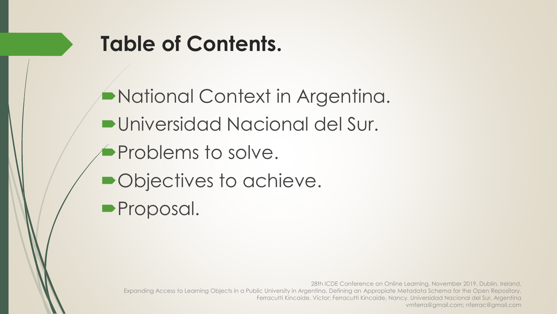

## **Table of Contents.**

National Context in Argentina. Universidad Nacional del Sur. **Problems to solve.** • Objectives to achieve. **Proposal.**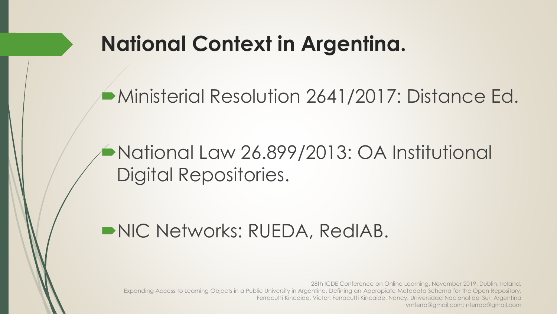### **National Context in Argentina.**

Ministerial Resolution 2641/2017: Distance Ed.

#### National Law 26.899/2013: OA Institutional Digital Repositories.

#### NIC Networks: RUEDA, RedIAB.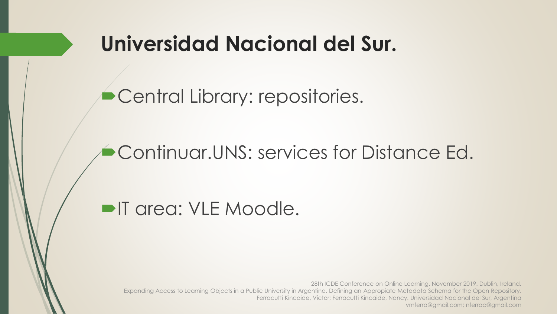### **Universidad Nacional del Sur.**

**Central Library: repositories.** 

Continuar.UNS: services for Distance Ed.

**IF area: VLE Moodle.**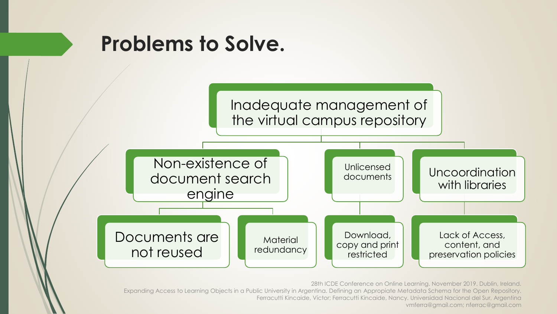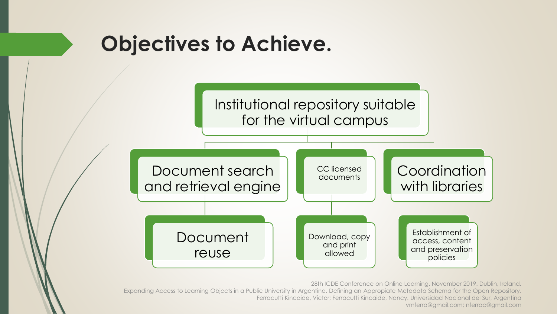### **Objectives to Achieve.**

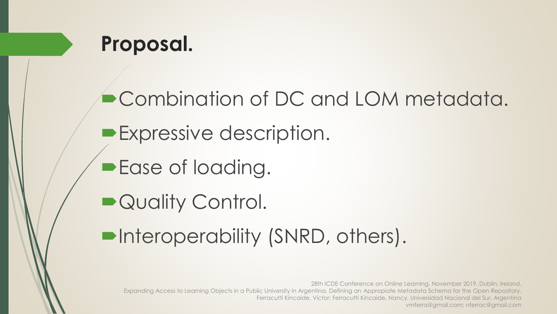

Combination of DC and LOM metadata. **Expressive description. Ease of loading.** ■ Quality Control. Interoperability (SNRD, others).